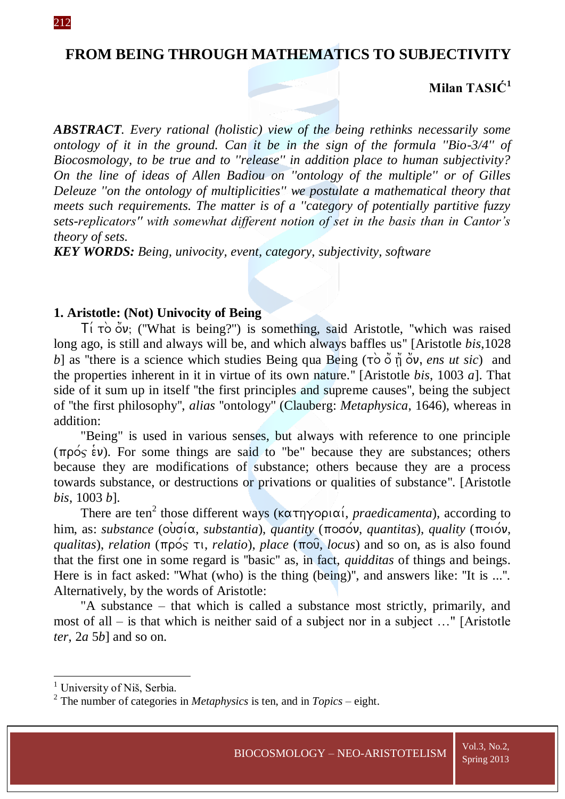# **FROM BEING THROUGH MATHEMATICS TO SUBJECTIVITY**

# **Milan TASIĆ<sup>1</sup>**

*ABSTRACT. Every rational (holistic) view of the being rethinks necessarily some ontology of it in the ground. Can it be in the sign of the formula ''Bio-3/4'' of Biocosmology, to be true and to ''release'' in addition place to human subjectivity? On the line of ideas of Allen Badiou on ''ontology of the multiple'' or of Gilles Deleuze ''on the ontology of multiplicities'' we postulate a mathematical theory that meets such requirements. The matter is of a ''category of potentially partitive fuzzy sets-replicators'' with somewhat different notion of set in the basis than in Cantor's theory of sets.* 

*KEY WORDS: Being, univocity, event, category, subjectivity, software*

#### **1. Aristotle: (Not) Univocity of Being**

 $\overline{\mathrm{T}}$  (''What is being?'') is something, said Aristotle, ''which was raised long ago, is still and always will be, and which always baffles us'' [Aristotle *bis*,1028 *b*] as "there is a science which studies Being qua Being  $(\tau \circ \check{\circ} \check{\eta} \check{\circ} \check{\circ} \check{\circ} \check{\circ} \check{\circ} \check{\circ} \check{\circ})$  and the properties inherent in it in virtue of its own nature.'' [Aristotle *bis*, 1003 *a*]. That side of it sum up in itself ''the first principles and supreme causes'', being the subject of ''the first philosophy'', *alias* ''ontology'' (Clauberg: *Metaphysica*, 1646), whereas in addition:

"Being" is used in various senses, but always with reference to one principle  $(\pi \rho \circ \xi \circ \psi)$ . For some things are said to "be" because they are substances; others because they are modifications of substance; others because they are a process towards substance, or destructions or privations or qualities of substance''. [Aristotle *bis*, 1003 *b*].

There are ten<sup>2</sup> those different ways ( $\kappa \alpha \tau \eta \gamma$ opi $\alpha'$ , *praedicamenta*), according to him, as: *substance* ( $\vec{\omega}$ νσία, *substantia*), *quantity* (ποσόν, *quantitas*), *quality* (ποιόν, *qualitas*), *relation* ( $\pi \rho \circ \varsigma \tau$ , *relatio*), *place* ( $\pi \circ \varphi$ , *locus*) and so on, as is also found that the first one in some regard is ''basic'' as, in fact, *quidditas* of things and beings. Here is in fact asked: ''What (who) is the thing (being)'', and answers like: ''It is ...''. Alternatively, by the words of Aristotle:

"A substance – that which is called a substance most strictly, primarily, and most of all – is that which is neither said of a subject nor in a subject …" [Aristotle *ter*, 2*a* 5*b*] and so on.

1

<sup>&</sup>lt;sup>1</sup> University of Niš, Serbia.

<sup>2</sup> The number of categories in *Metaphysics* is ten, and in *Topics* – eight.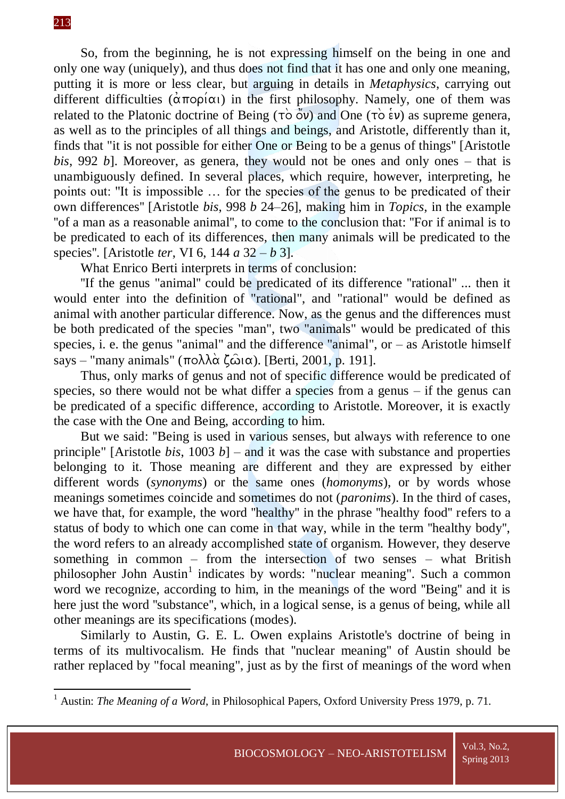**.** 

So, from the beginning, he is not expressing himself on the being in one and only one way (uniquely), and thus does not find that it has one and only one meaning, putting it is more or less clear, but arguing in details in *Metaphysics*, carrying out different difficulties ( $\alpha \pi$ opi $\alpha$ ) in the first philosophy. Namely, one of them was related to the Platonic doctrine of Being ( $\overrightarrow{TO}$   $\overrightarrow{O}$ ) and One ( $\overrightarrow{TO}$   $\overrightarrow{e}$ ) as supreme genera, as well as to the principles of all things and beings, and Aristotle, differently than it, finds that "it is not possible for either One or Being to be a genus of things'' [Aristotle *bis*, 992 *b*]. Moreover, as genera, they would not be ones and only ones – that is unambiguously defined. In several places, which require, however, interpreting, he points out: ''It is impossible … for the species of the genus to be predicated of their own differences'' [Aristotle *bis*, 998 *b* 24–26], making him in *Topics*, in the example "of a man as a reasonable animal", to come to the conclusion that: "For if animal is to be predicated to each of its differences, then many animals will be predicated to the species''. [Aristotle *ter*, VI 6, 144 *a* 32 – *b* 3].

What Enrico Berti interprets in terms of conclusion:

''If the genus "animal'' could be predicated of its difference ''rational'' ... then it would enter into the definition of "rational", and "rational" would be defined as animal with another particular difference. Now, as the genus and the differences must be both predicated of the species "man", two "animals" would be predicated of this species, i. e. the genus "animal" and the difference "animal", or  $-$  as Aristotle himself says – "many animals" ( $\pi$ o $\lambda \lambda \alpha$  ( $\hat{\omega}$ i $\alpha$ ). [Berti, 2001, p. 191].

Thus, only marks of genus and not of specific difference would be predicated of species, so there would not be what differ a species from a genus – if the genus can be predicated of a specific difference, according to Aristotle. Moreover, it is exactly the case with the One and Being, according to him.

But we said: ''Being is used in various senses, but always with reference to one principle" [Aristotle *bis*,  $1003 b$ ] – and it was the case with substance and properties belonging to it. Those meaning are different and they are expressed by either different words (*synonyms*) or the same ones (*homonyms*), or by words whose meanings sometimes coincide and sometimes do not (*paronims*). In the third of cases, we have that, for example, the word ''healthy'' in the phrase ''healthy food'' refers to a status of body to which one can come in that way, while in the term ''healthy body'', the word refers to an already accomplished state of organism. However, they deserve something in common – from the intersection of two senses – what British philosopher John Austin<sup>1</sup> indicates by words: "nuclear meaning". Such a common word we recognize, according to him, in the meanings of the word ''Being'' and it is here just the word ''substance'', which, in a logical sense, is a genus of being, while all other meanings are its specifications (modes).

Similarly to Austin, G. E. L. Owen explains Aristotle's doctrine of being in terms of its multivocalism. He finds that ''nuclear meaning'' of Austin should be rather replaced by "focal meaning", just as by the first of meanings of the word when

<sup>1</sup> Austin: *The Meaning of a Word*, in Philosophical Papers, Oxford University Press 1979, p. 71.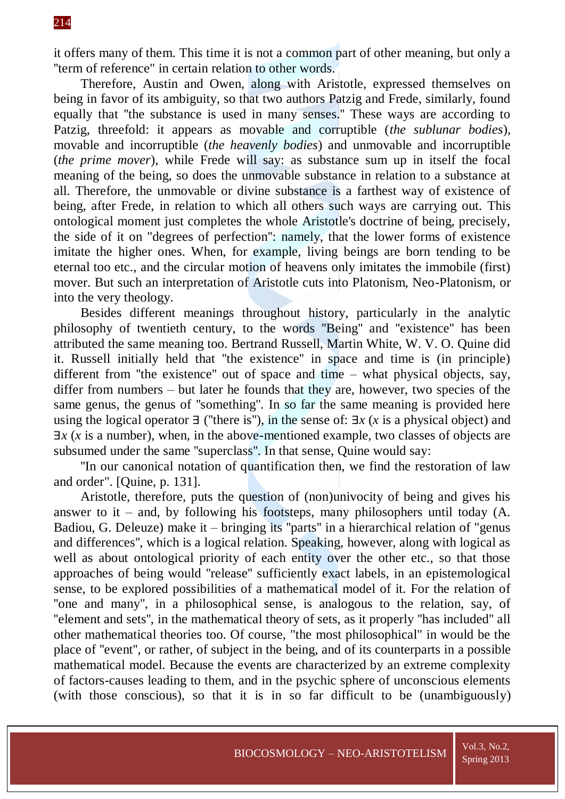it offers many of them. This time it is not a common part of other meaning, but only a ''term of reference" in certain relation to other words.

Therefore, Austin and Owen, along with Aristotle, expressed themselves on being in favor of its ambiguity, so that two authors Patzig and Frede, similarly, found equally that ''the substance is used in many senses.'' These ways are according to Patzig, threefold: it appears as movable and corruptible (*the sublunar bodies*), movable and incorruptible (*the heavenly bodies*) and unmovable and incorruptible (*the prime mover*), while Frede will say: as substance sum up in itself the focal meaning of the being, so does the unmovable substance in relation to a substance at all. Therefore, the unmovable or divine substance is a farthest way of existence of being, after Frede, in relation to which all others such ways are carrying out. This ontological moment just completes the whole Aristotle's doctrine of being, precisely, the side of it on "degrees of perfection'': namely, that the lower forms of existence imitate the higher ones. When, for example, living beings are born tending to be eternal too etc., and the circular motion of heavens only imitates the immobile (first) mover. But such an interpretation of Aristotle cuts into Platonism, Neo-Platonism, or into the very theology.

Besides different meanings throughout history, particularly in the analytic philosophy of twentieth century, to the words ''Being'' and ''existence'' has been attributed the same meaning too. Bertrand Russell, Martin White, W. V. O. Quine did it. Russell initially held that ''the existence'' in space and time is (in principle) different from ''the existence'' out of space and time – what physical objects, say, differ from numbers – but later he founds that they are, however, two species of the same genus, the genus of ''something''. In so far the same meaning is provided here using the logical operator ∃ (''there is''), in the sense of: ∃*x* (*x* is a physical object) and ∃*x* (*x* is a number), when, in the above-mentioned example, two classes of objects are subsumed under the same ''superclass''. In that sense, Quine would say:

''In our canonical notation of quantification then, we find the restoration of law and order". [Quine, p. 131].

Aristotle, therefore, puts the question of (non)univocity of being and gives his answer to it – and, by following his footsteps, many philosophers until today  $(A, B)$ . Badiou, G. Deleuze) make it – bringing its "parts" in a hierarchical relation of "genus" and differences'', which is a logical relation. Speaking, however, along with logical as well as about ontological priority of each entity over the other etc., so that those approaches of being would ''release'' sufficiently exact labels, in an epistemological sense, to be explored possibilities of a mathematical model of it. For the relation of "one and many", in a philosophical sense, is analogous to the relation, say, of ''element and sets'', in the mathematical theory of sets, as it properly ''has included'' all other mathematical theories too. Of course, "the most philosophical" in would be the place of ''event'', or rather, of subject in the being, and of its counterparts in a possible mathematical model. Because the events are characterized by an extreme complexity of factors-causes leading to them, and in the psychic sphere of unconscious elements (with those conscious), so that it is in so far difficult to be (unambiguously)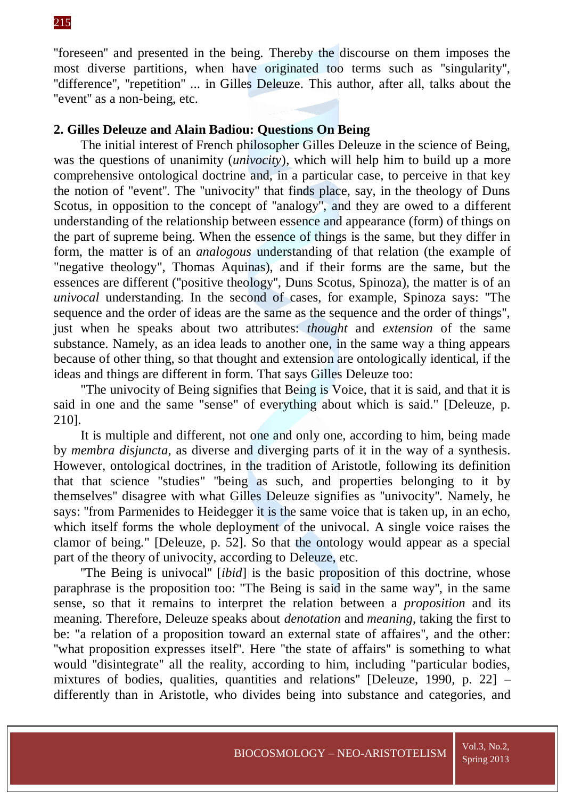''foreseen'' and presented in the being. Thereby the discourse on them imposes the most diverse partitions, when have originated too terms such as ''singularity'', "difference", "repetition" ... in Gilles Deleuze. This author, after all, talks about the "event" as a non-being, etc.

## **2. Gilles Deleuze and Alain Badiou: Questions On Being**

The initial interest of French philosopher Gilles Deleuze in the science of Being, was the questions of unanimity (*univocity*), which will help him to build up a more comprehensive ontological doctrine and, in a particular case, to perceive in that key the notion of "event''. The ''univocity'' that finds place, say, in the theology of Duns Scotus, in opposition to the concept of ''analogy'', and they are owed to a different understanding of the relationship between essence and appearance (form) of things on the part of supreme being. When the essence of things is the same, but they differ in form, the matter is of an *analogous* understanding of that relation (the example of "negative theology", Thomas Aquinas), and if their forms are the same, but the essences are different (''positive theology'', Duns Scotus, Spinoza), the matter is of an *univocal* understanding. In the second of cases, for example, Spinoza says: ''The sequence and the order of ideas are the same as the sequence and the order of things'', just when he speaks about two attributes: *thought* and *extension* of the same substance. Namely, as an idea leads to another one, in the same way a thing appears because of other thing, so that thought and extension are ontologically identical, if the ideas and things are different in form. That says Gilles Deleuze too:

"The univocity of Being signifies that Being is Voice, that it is said, and that it is said in one and the same "sense" of everything about which is said." [Deleuze, p. 210].

It is multiple and different, not one and only one, according to him, being made by *membra disjuncta*, as diverse and diverging parts of it in the way of a synthesis. However, ontological doctrines, in the tradition of Aristotle, following its definition that that science "studies" ''being as such, and properties belonging to it by themselves'' disagree with what Gilles Deleuze signifies as ''univocity''. Namely, he says: ''from Parmenides to Heidegger it is the same voice that is taken up, in an echo, which itself forms the whole deployment of the univocal. A single voice raises the clamor of being." [Deleuze, p. 52]. So that the ontology would appear as a special part of the theory of univocity, according to Deleuze, etc.

''The Being is univocal'' [*ibid*] is the basic proposition of this doctrine, whose paraphrase is the proposition too: ''The Being is said in the same way'', in the same sense, so that it remains to interpret the relation between a *proposition* and its meaning. Therefore, Deleuze speaks about *denotation* and *meaning*, taking the first to be: "a relation of a proposition toward an external state of affaires'', and the other: "what proposition expresses itself". Here "the state of affairs" is something to what would ''disintegrate'' all the reality, according to him, including "particular bodies, mixtures of bodies, qualities, quantities and relations'' [Deleuze, 1990, p. 22] – differently than in Aristotle, who divides being into substance and categories, and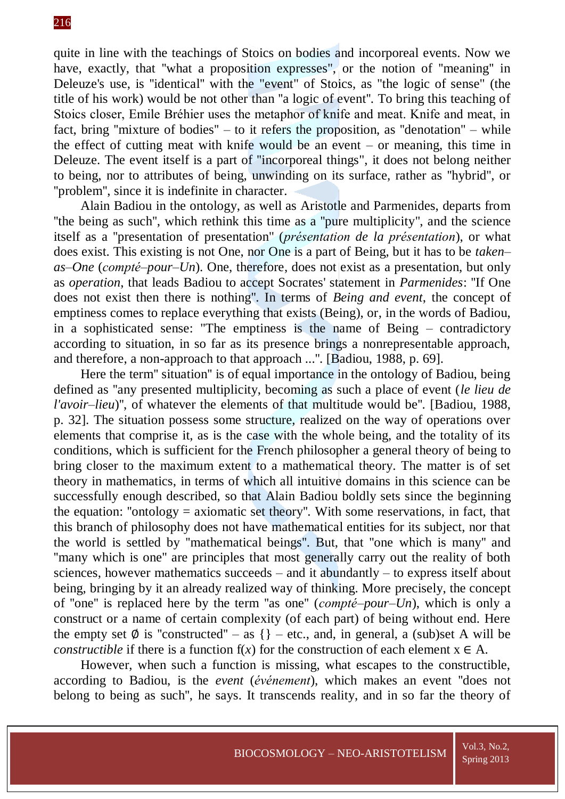# 216

quite in line with the teachings of Stoics on bodies and incorporeal events. Now we have, exactly, that "what a proposition expresses", or the notion of "meaning" in Deleuze's use, is ''identical'' with the "event" of Stoics, as "the logic of sense" (the title of his work) would be not other than ''a logic of event''. To bring this teaching of Stoics closer, Emile Bréhier uses the metaphor of knife and meat. Knife and meat, in fact, bring ''mixture of bodies'' – to it refers the proposition, as ''denotation'' – while the effect of cutting meat with knife would be an event – or meaning, this time in Deleuze. The event itself is a part of ''incorporeal things", it does not belong neither to being, nor to attributes of being, unwinding on its surface, rather as ''hybrid'', or ''problem'', since it is indefinite in character.

Alain Badiou in the ontology, as well as Aristotle and Parmenides, departs from ''the being as such'', which rethink this time as a ''pure multiplicity'', and the science itself as a ''presentation of presentation'' (*présentation de la présentation*), or what does exist. This existing is not One, nor One is a part of Being, but it has to be *taken– as–One* (*compté–pour–Un*). One, therefore, does not exist as a presentation, but only as *operation*, that leads Badiou to accept Socrates' statement in *Parmenides*: ''If One does not exist then there is nothing''. In terms of *Being and event*, the concept of emptiness comes to replace everything that exists (Being), or, in the words of Badiou, in a sophisticated sense: "The emptiness is the name of Being – contradictory according to situation, in so far as its presence brings a nonrepresentable approach, and therefore, a non-approach to that approach ...''. [Badiou, 1988, p. 69].

Here the term'' situation'' is of equal importance in the ontology of Badiou, being defined as ''any presented multiplicity, becoming as such a place of event (*le lieu de l'avoir–lieu*)'', of whatever the elements of that multitude would be''. [Badiou, 1988, p. 32]. The situation possess some structure, realized on the way of operations over elements that comprise it, as is the case with the whole being, and the totality of its conditions, which is sufficient for the French philosopher a general theory of being to bring closer to the maximum extent to a mathematical theory. The matter is of set theory in mathematics, in terms of which all intuitive domains in this science can be successfully enough described, so that Alain Badiou boldly sets since the beginning the equation: "ontology  $=$  axiomatic set theory". With some reservations, in fact, that this branch of philosophy does not have mathematical entities for its subject, nor that the world is settled by ''mathematical beings''. But, that ''one which is many'' and "many which is one" are principles that most generally carry out the reality of both sciences, however mathematics succeeds – and it abundantly – to express itself about being, bringing by it an already realized way of thinking. More precisely, the concept of ''one'' is replaced here by the term ''as one'' (*compté*–*pour–Un*), which is only a construct or a name of certain complexity (of each part) of being without end. Here the empty set  $\emptyset$  is "constructed" – as {} – etc., and, in general, a (sub)set A will be *constructible* if there is a function  $f(x)$  for the construction of each element  $x \in A$ .

However, when such a function is missing, what escapes to the constructible, according to Badiou, is the *event* (*événement*), which makes an event ''does not belong to being as such'', he says. It transcends reality, and in so far the theory of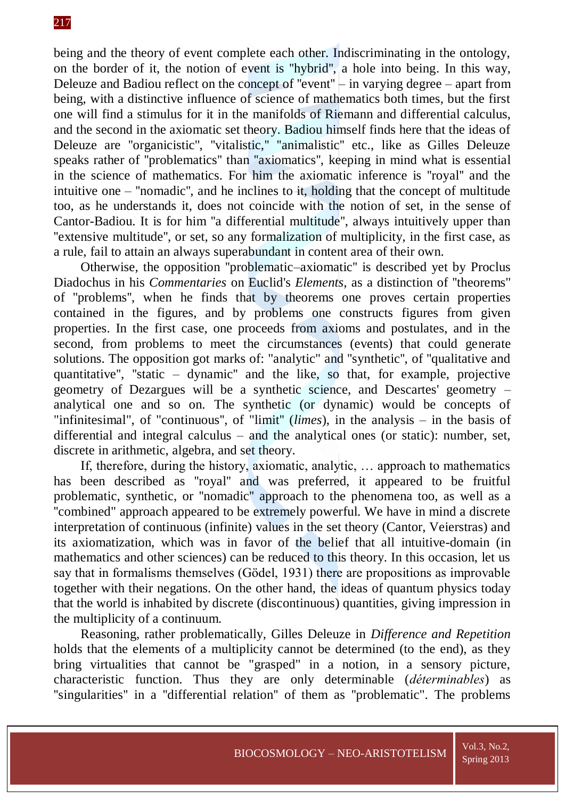# 217

being and the theory of event complete each other. Indiscriminating in the ontology, on the border of it, the notion of event is ''hybrid'', a hole into being. In this way, Deleuze and Badiou reflect on the concept of ''event'' – in varying degree – apart from being, with a distinctive influence of science of mathematics both times, but the first one will find a stimulus for it in the manifolds of Riemann and differential calculus, and the second in the axiomatic set theory. Badiou himself finds here that the ideas of Deleuze are ''organicistic'', ''vitalistic,'' ''animalistic'' etc., like as Gilles Deleuze speaks rather of ''problematics'' than ''axiomatics'', keeping in mind what is essential in the science of mathematics. For him the axiomatic inference is ''royal'' and the intuitive one – ''nomadic'', and he inclines to it, holding that the concept of multitude too, as he understands it, does not coincide with the notion of set, in the sense of Cantor-Badiou. It is for him ''a differential multitude'', always intuitively upper than ''extensive multitude'', or set, so any formalization of multiplicity, in the first case, as a rule, fail to attain an always superabundant in content area of their own.

Otherwise, the opposition ''problematic–axiomatic'' is described yet by Proclus Diadochus in his *Commentaries* on Euclid's *Elements*, as a distinction of ''theorems'' of ''problems'', when he finds that by theorems one proves certain properties contained in the figures, and by problems one constructs figures from given properties. In the first case, one proceeds from axioms and postulates, and in the second, from problems to meet the circumstances (events) that could generate solutions. The opposition got marks of: "analytic" and ''synthetic'', of ''qualitative and quantitative'', ''static – dynamic'' and the like, so that, for example, projective geometry of Dezargues will be a synthetic science, and Descartes' geometry – analytical one and so on. The synthetic (or dynamic) would be concepts of "infinitesimal", of "continuous'', of "limit'' (*limes*), in the analysis – in the basis of differential and integral calculus – and the analytical ones (or static): number, set, discrete in arithmetic, algebra, and set theory.

If, therefore, during the history, axiomatic, analytic, … approach to mathematics has been described as ''royal'' and was preferred, it appeared to be fruitful problematic, synthetic, or ''nomadic'' approach to the phenomena too, as well as a ''combined" approach appeared to be extremely powerful. We have in mind a discrete interpretation of continuous (infinite) values in the set theory (Cantor, Veierstras) and its axiomatization, which was in favor of the belief that all intuitive-domain (in mathematics and other sciences) can be reduced to this theory. In this occasion, let us say that in formalisms themselves (Gödel, 1931) there are propositions as improvable together with their negations. On the other hand, the ideas of quantum physics today that the world is inhabited by discrete (discontinuous) quantities, giving impression in the multiplicity of a continuum.

Reasoning, rather problematically, Gilles Deleuze in *Difference and Repetition* holds that the elements of a multiplicity cannot be determined (to the end), as they bring virtualities that cannot be "grasped" in a notion, in a sensory picture, characteristic function. Thus they are only determinable (*déterminables*) as "singularities" in a "differential relation" of them as "problematic". The problems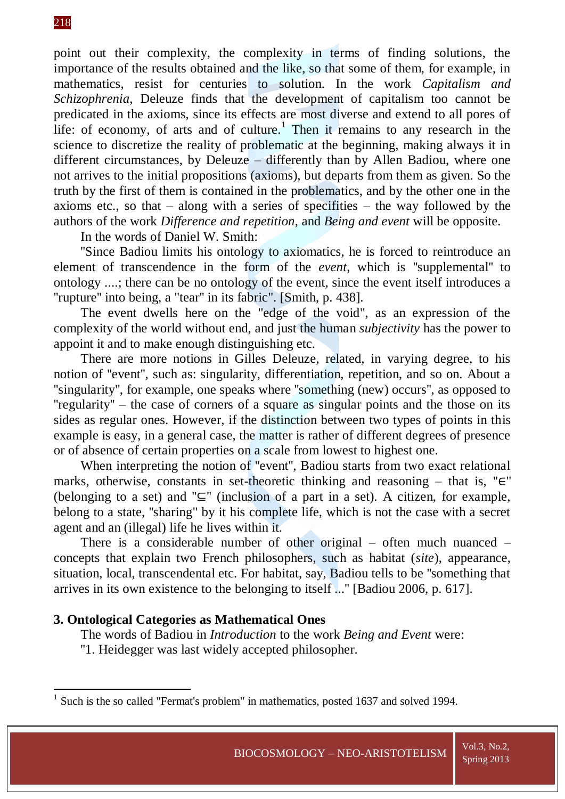# 218

**.** 

point out their complexity, the complexity in terms of finding solutions, the importance of the results obtained and the like, so that some of them, for example, in mathematics, resist for centuries to solution. In the work *Capitalism and Schizophrenia*, Deleuze finds that the development of capitalism too cannot be predicated in the axioms, since its effects are most diverse and extend to all pores of life: of economy, of arts and of culture.<sup>1</sup> Then it remains to any research in the science to discretize the reality of problematic at the beginning, making always it in different circumstances, by Deleuze – differently than by Allen Badiou, where one not arrives to the initial propositions (axioms), but departs from them as given. So the truth by the first of them is contained in the problematics, and by the other one in the axioms etc., so that – along with a series of specifities – the way followed by the authors of the work *Difference and repetition*, and *Being and event* will be opposite.

In the words of Daniel W. Smith:

''Since Badiou limits his ontology to axiomatics, he is forced to reintroduce an element of transcendence in the form of the *event*, which is ''supplemental'' to ontology ....; there can be no ontology of the event, since the event itself introduces a "rupture" into being, a "tear" in its fabric". [Smith, p. 438].

The event dwells here on the "edge of the void", as an expression of the complexity of the world without end, and just the human *subjectivity* has the power to appoint it and to make enough distinguishing etc.

There are more notions in Gilles Deleuze, related, in varying degree, to his notion of ''event'', such as: singularity, differentiation, repetition, and so on. About a ''singularity'', for example, one speaks where ''something (new) occurs'', as opposed to  $"regularity"$  – the case of corners of a square as singular points and the those on its sides as regular ones. However, if the distinction between two types of points in this example is easy, in a general case, the matter is rather of different degrees of presence or of absence of certain properties on a scale from lowest to highest one.

When interpreting the notion of ''event'', Badiou starts from two exact relational marks, otherwise, constants in set-theoretic thinking and reasoning – that is, " $\in$ " (belonging to a set) and " $\subseteq$ " (inclusion of a part in a set). A citizen, for example, belong to a state, ''sharing" by it his complete life, which is not the case with a secret agent and an (illegal) life he lives within it.

There is a considerable number of other original – often much nuanced – concepts that explain two French philosophers, such as habitat (*site*), appearance, situation, local, transcendental etc. For habitat, say, Badiou tells to be ''something that arrives in its own existence to the belonging to itself ...'' [Badiou 2006, p. 617].

## **3. Ontological Categories as Mathematical Ones**

The words of Badiou in *Introduction* to the work *Being and Event* were:

''1. Heidegger was last widely accepted philosopher.

<sup>&</sup>lt;sup>1</sup> Such is the so called "Fermat's problem" in mathematics, posted 1637 and solved 1994.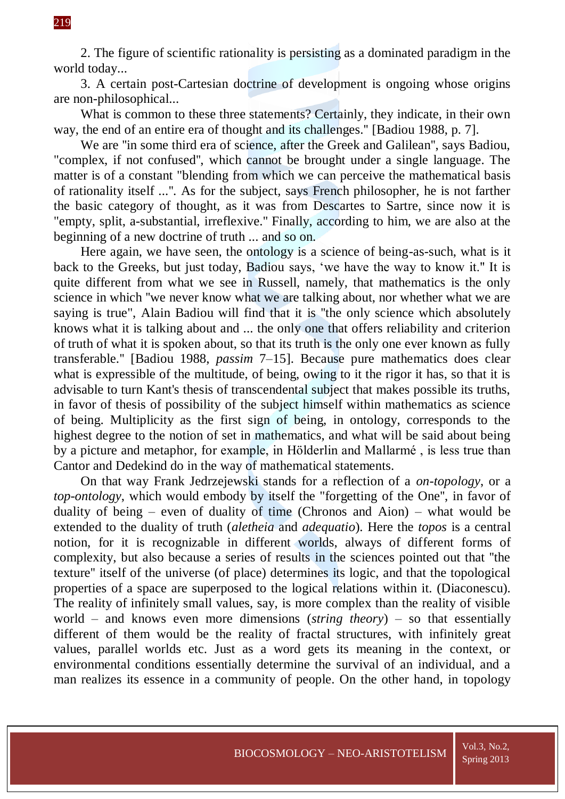2. The figure of scientific rationality is persisting as a dominated paradigm in the world today...

3. A certain post-Cartesian doctrine of development is ongoing whose origins are non-philosophical...

What is common to these three statements? Certainly, they indicate, in their own way, the end of an entire era of thought and its challenges.'' [Badiou 1988, p. 7].

We are ''in some third era of science, after the Greek and Galilean'', says Badiou, "complex, if not confused'', which cannot be brought under a single language. The matter is of a constant "blending from which we can perceive the mathematical basis of rationality itself ...''. As for the subject, says French philosopher, he is not farther the basic category of thought, as it was from Descartes to Sartre, since now it is "empty, split, a-substantial, irreflexive.'' Finally, according to him, we are also at the beginning of a new doctrine of truth ... and so on.

Here again, we have seen, the ontology is a science of being-as-such, what is it back to the Greeks, but just today, Badiou says, 'we have the way to know it.'' It is quite different from what we see in Russell, namely, that mathematics is the only science in which ''we never know what we are talking about, nor whether what we are saying is true", Alain Badiou will find that it is ''the only science which absolutely knows what it is talking about and ... the only one that offers reliability and criterion of truth of what it is spoken about, so that its truth is the only one ever known as fully transferable.'' [Badiou 1988, *passim* 7–15]. Because pure mathematics does clear what is expressible of the multitude, of being, owing to it the rigor it has, so that it is advisable to turn Kant's thesis of transcendental subject that makes possible its truths, in favor of thesis of possibility of the subject himself within mathematics as science of being. Multiplicity as the first sign of being, in ontology, corresponds to the highest degree to the notion of set in mathematics, and what will be said about being by a picture and metaphor, for example, in Hölderlin and Mallarmé , is less true than Cantor and Dedekind do in the way of mathematical statements.

On that way Frank Jedrzejewski stands for a reflection of a *on-topology*, or a *top-ontology*, which would embody by itself the "forgetting of the One'', in favor of duality of being – even of duality of time (Chronos and Aion) – what would be extended to the duality of truth (*aletheia* and *adequatio*). Here the *topos* is a central notion, for it is recognizable in different worlds, always of different forms of complexity, but also because a series of results in the sciences pointed out that ''the texture'' itself of the universe (of place) determines its logic, and that the topological properties of a space are superposed to the logical relations within it. (Diaconescu). The reality of infinitely small values, say, is more complex than the reality of visible world – and knows even more dimensions (*string theory*) – so that essentially different of them would be the reality of fractal structures, with infinitely great values, parallel worlds etc. Just as a word gets its meaning in the context, or environmental conditions essentially determine the survival of an individual, and a man realizes its essence in a community of people. On the other hand, in topology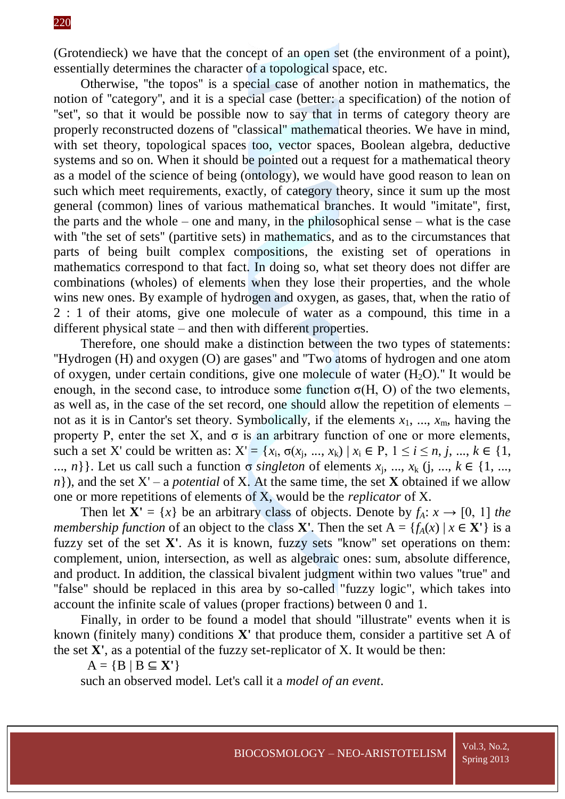(Grotendieck) we have that the concept of an open set (the environment of a point), essentially determines the character of a topological space, etc.

Otherwise, ''the topos'' is a special case of another notion in mathematics, the notion of ''category'', and it is a special case (better: a specification) of the notion of "set", so that it would be possible now to say that in terms of category theory are properly reconstructed dozens of ''classical'' mathematical theories. We have in mind, with set theory, topological spaces too, vector spaces, Boolean algebra, deductive systems and so on. When it should be pointed out a request for a mathematical theory as a model of the science of being (ontology), we would have good reason to lean on such which meet requirements, exactly, of category theory, since it sum up the most general (common) lines of various mathematical branches. It would ''imitate'', first, the parts and the whole – one and many, in the philosophical sense – what is the case with "the set of sets" (partitive sets) in mathematics, and as to the circumstances that parts of being built complex compositions, the existing set of operations in mathematics correspond to that fact. In doing so, what set theory does not differ are combinations (wholes) of elements when they lose their properties, and the whole wins new ones. By example of hydrogen and oxygen, as gases, that, when the ratio of 2 : 1 of their atoms, give one molecule of water as a compound, this time in a different physical state – and then with different properties.

Therefore, one should make a distinction between the two types of statements: ''Hydrogen (H) and oxygen (O) are gases'' and ''Two atoms of hydrogen and one atom of oxygen, under certain conditions, give one molecule of water  $(H<sub>2</sub>O)$ ." It would be enough, in the second case, to introduce some function  $\sigma(H, O)$  of the two elements, as well as, in the case of the set record, one should allow the repetition of elements – not as it is in Cantor's set theory. Symbolically, if the elements  $x_1, ..., x_m$ , having the property P, enter the set X, and  $\sigma$  is an arbitrary function of one or more elements, such a set X' could be written as:  $X' = \{x_i, \sigma(x_j, ..., x_k) | x_i \in P, 1 \le i \le n, j, ..., k \in \{1, \}$ ..., *n*} }. Let us call such a function  $\sigma$  *singleton* of elements  $x_j$ , ...,  $x_k$  (j, ...,  $k \in \{1, ...,$  $n$ }), and the set  $X'$  – a *potential* of X. At the same time, the set **X** obtained if we allow one or more repetitions of elements of X, would be the *replicator* of X.

Then let  $X' = \{x\}$  be an arbitrary class of objects. Denote by  $f_A: x \to [0, 1]$  the *membership function* of an object to the class **X'**. Then the set  $A = \{f_A(x) | x \in X'\}$  is a fuzzy set of the set **X'**. As it is known, fuzzy sets ''know'' set operations on them: complement, union, intersection, as well as algebraic ones: sum, absolute difference, and product. In addition, the classical bivalent judgment within two values ''true'' and "false" should be replaced in this area by so-called "fuzzy logic", which takes into account the infinite scale of values (proper fractions) between 0 and 1.

Finally, in order to be found a model that should ''illustrate'' events when it is known (finitely many) conditions **X'** that produce them, consider a partitive set A of the set **X'**, as a potential of the fuzzy set-replicator of X. It would be then:

 $A = {B | B \subseteq X'}$ 

such an observed model. Let's call it a *model of an event*.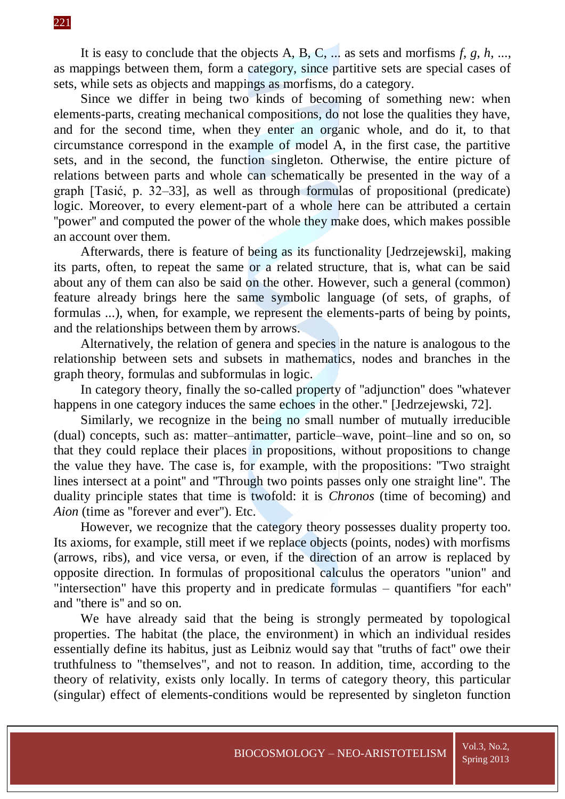It is easy to conclude that the objects A, B, C, ... as sets and morfisms *f*, *g*, *h*, ..., as mappings between them, form a category, since partitive sets are special cases of sets, while sets as objects and mappings as morfisms, do a category.

Since we differ in being two kinds of becoming of something new: when elements-parts, creating mechanical compositions, do not lose the qualities they have, and for the second time, when they enter an organic whole, and do it, to that circumstance correspond in the example of model A, in the first case, the partitive sets, and in the second, the function singleton. Otherwise, the entire picture of relations between parts and whole can schematically be presented in the way of a graph [Tasić, p. 32–33], as well as through formulas of propositional (predicate) logic. Moreover, to every element-part of a whole here can be attributed a certain ''power'' and computed the power of the whole they make does, which makes possible an account over them.

Afterwards, there is feature of being as its functionality [Jedrzejewski], making its parts, often, to repeat the same or a related structure, that is, what can be said about any of them can also be said on the other. However, such a general (common) feature already brings here the same symbolic language (of sets, of graphs, of formulas ...), when, for example, we represent the elements-parts of being by points, and the relationships between them by arrows.

Alternatively, the relation of genera and species in the nature is analogous to the relationship between sets and subsets in mathematics, nodes and branches in the graph theory, formulas and subformulas in logic.

In category theory, finally the so-called property of ''adjunction'' does ''whatever happens in one category induces the same echoes in the other." [Jedrzejewski, 72].

Similarly, we recognize in the being no small number of mutually irreducible (dual) concepts, such as: matter–antimatter, particle–wave, point–line and so on, so that they could replace their places in propositions, without propositions to change the value they have. The case is, for example, with the propositions: ''Two straight lines intersect at a point'' and ''Through two points passes only one straight line''. The duality principle states that time is twofold: it is *Chronos* (time of becoming) and *Aion* (time as ''forever and ever''). Etc.

However, we recognize that the category theory possesses duality property too. Its axioms, for example, still meet if we replace objects (points, nodes) with morfisms (arrows, ribs), and vice versa, or even, if the direction of an arrow is replaced by opposite direction. In formulas of propositional calculus the operators "union" and "intersection" have this property and in predicate formulas – quantifiers ''for each'' and ''there is'' and so on.

We have already said that the being is strongly permeated by topological properties. The habitat (the place, the environment) in which an individual resides essentially define its habitus, just as Leibniz would say that ''truths of fact'' owe their truthfulness to "themselves", and not to reason. In addition, time, according to the theory of relativity, exists only locally. In terms of category theory, this particular (singular) effect of elements-conditions would be represented by singleton function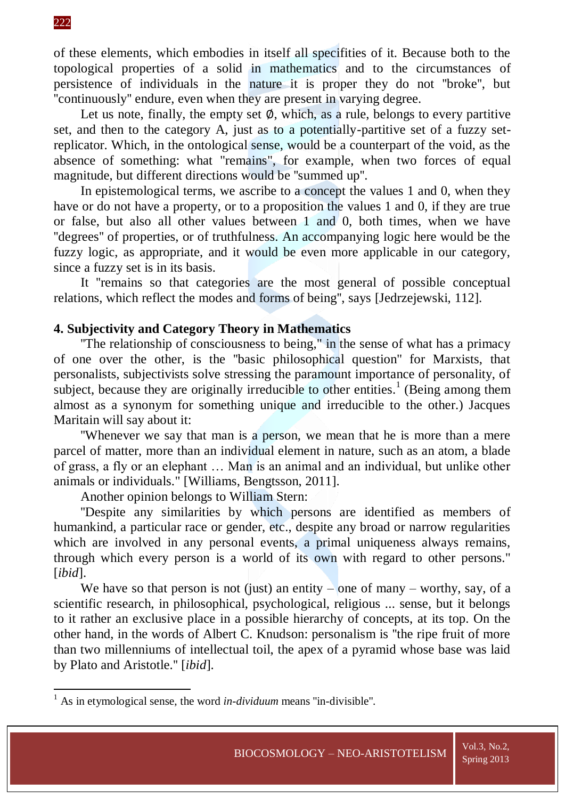**.** 

of these elements, which embodies in itself all specifities of it. Because both to the topological properties of a solid in mathematics and to the circumstances of persistence of individuals in the nature it is proper they do not ''broke'', but ''continuously'' endure, even when they are present in varying degree.

Let us note, finally, the empty set  $\emptyset$ , which, as a rule, belongs to every partitive set, and then to the category A, just as to a potentially-partitive set of a fuzzy setreplicator. Which, in the ontological sense, would be a counterpart of the void, as the absence of something: what "remains", for example, when two forces of equal magnitude, but different directions would be ''summed up''.

In epistemological terms, we ascribe to a concept the values 1 and 0, when they have or do not have a property, or to a proposition the values 1 and 0, if they are true or false, but also all other values between 1 and 0, both times, when we have ''degrees'' of properties, or of truthfulness. An accompanying logic here would be the fuzzy logic, as appropriate, and it would be even more applicable in our category, since a fuzzy set is in its basis.

It ''remains so that categories are the most general of possible conceptual relations, which reflect the modes and forms of being'', says [Jedrzejewski, 112].

#### **4. Subjectivity and Category Theory in Mathematics**

''The relationship of consciousness to being," in the sense of what has a primacy of one over the other, is the ''basic philosophical question'' for Marxists, that personalists, subjectivists solve stressing the paramount importance of personality, of subject, because they are originally irreducible to other entities.<sup>1</sup> (Being among them almost as a synonym for something unique and irreducible to the other.) Jacques Maritain will say about it:

''Whenever we say that man is a person, we mean that he is more than a mere parcel of matter, more than an individual element in nature, such as an atom, a blade of grass, a fly or an elephant … Man is an animal and an individual, but unlike other animals or individuals." [Williams, Bengtsson, 2011].

Another opinion belongs to William Stern:

''Despite any similarities by which persons are identified as members of humankind, a particular race or gender, etc., despite any broad or narrow regularities which are involved in any personal events, a primal uniqueness always remains, through which every person is a world of its own with regard to other persons." [*ibid*].

We have so that person is not (just) an entity – one of many – worthy, say, of a scientific research, in philosophical, psychological, religious ... sense, but it belongs to it rather an exclusive place in a possible hierarchy of concepts, at its top. On the other hand, in the words of Albert C. Knudson: personalism is ''the ripe fruit of more than two millenniums of intellectual toil, the apex of a pyramid whose base was laid by Plato and Aristotle.'' [*ibid*].

<sup>&</sup>lt;sup>1</sup> As in etymological sense, the word *in-dividuum* means "in-divisible".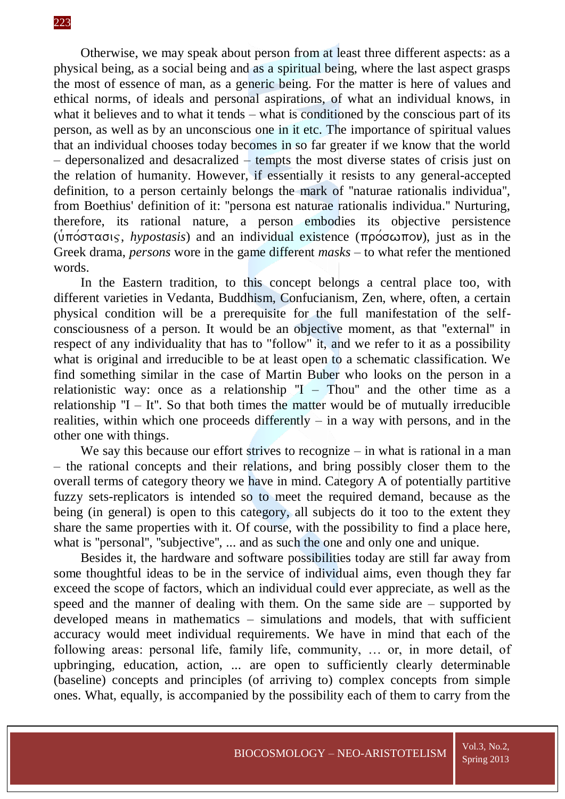Otherwise, we may speak about person from at least three different aspects: as a physical being, as a social being and as a spiritual being, where the last aspect grasps the most of essence of man, as a generic being. For the matter is here of values and ethical norms, of ideals and personal aspirations, of what an individual knows, in what it believes and to what it tends – what is conditioned by the conscious part of its person, as well as by an unconscious one in it etc. The importance of spiritual values that an individual chooses today becomes in so far greater if we know that the world – depersonalized and desacralized – tempts the most diverse states of crisis just on the relation of humanity. However, if essentially it resists to any general-accepted definition, to a person certainly belongs the mark of ''naturae rationalis individua'', from Boethius' definition of it: ''persona est naturae rationalis individua.'' Nurturing, therefore, its rational nature, a person embodies its objective persistence (υπόστασις, *hypostasis*) and an individual existence (πρόσωπον), just as in the Greek drama, *persons* wore in the game different *masks* – to what refer the mentioned words.

In the Eastern tradition, to this concept belongs a central place too, with different varieties in Vedanta, Buddhism, Confucianism, Zen, where, often, a certain physical condition will be a prerequisite for the full manifestation of the selfconsciousness of a person. It would be an objective moment, as that ''external'' in respect of any individuality that has to "follow" it, and we refer to it as a possibility what is original and irreducible to be at least open to a schematic classification. We find something similar in the case of Martin Buber who looks on the person in a relationistic way: once as a relationship  $T - Thou$  and the other time as a relationship  $'I - It''$ . So that both times the matter would be of mutually irreducible realities, within which one proceeds differently – in a way with persons, and in the other one with things.

We say this because our effort strives to recognize – in what is rational in a man – the rational concepts and their relations, and bring possibly closer them to the overall terms of category theory we have in mind. Category A of potentially partitive fuzzy sets-replicators is intended so to meet the required demand, because as the being (in general) is open to this category, all subjects do it too to the extent they share the same properties with it. Of course, with the possibility to find a place here, what is "personal", "subjective", ... and as such the one and only one and unique.

Besides it, the hardware and software possibilities today are still far away from some thoughtful ideas to be in the service of individual aims, even though they far exceed the scope of factors, which an individual could ever appreciate, as well as the speed and the manner of dealing with them. On the same side are – supported by developed means in mathematics – simulations and models, that with sufficient accuracy would meet individual requirements. We have in mind that each of the following areas: personal life, family life, community, … or, in more detail, of upbringing, education, action, ... are open to sufficiently clearly determinable (baseline) concepts and principles (of arriving to) complex concepts from simple ones. What, equally, is accompanied by the possibility each of them to carry from the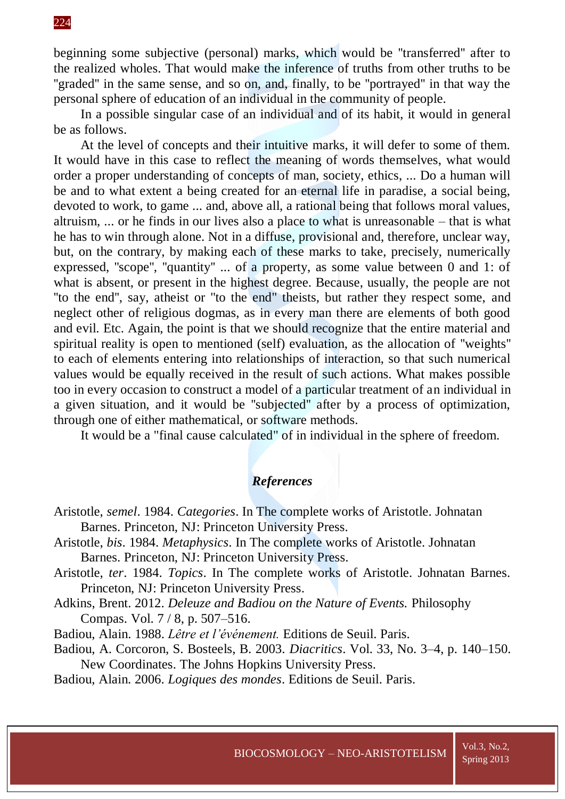beginning some subjective (personal) marks, which would be ''transferred'' after to the realized wholes. That would make the inference of truths from other truths to be "graded" in the same sense, and so on, and, finally, to be "portrayed" in that way the personal sphere of education of an individual in the community of people.

In a possible singular case of an individual and of its habit, it would in general be as follows.

At the level of concepts and their intuitive marks, it will defer to some of them. It would have in this case to reflect the meaning of words themselves, what would order a proper understanding of concepts of man, society, ethics, ... Do a human will be and to what extent a being created for an eternal life in paradise, a social being, devoted to work, to game ... and, above all, a rational being that follows moral values, altruism, ... or he finds in our lives also a place to what is unreasonable – that is what he has to win through alone. Not in a diffuse, provisional and, therefore, unclear way, but, on the contrary, by making each of these marks to take, precisely, numerically expressed, ''scope'', ''quantity'' ... of a property, as some value between 0 and 1: of what is absent, or present in the highest degree. Because, usually, the people are not ''to the end'', say, atheist or ''to the end" theists, but rather they respect some, and neglect other of religious dogmas, as in every man there are elements of both good and evil. Etc. Again, the point is that we should recognize that the entire material and spiritual reality is open to mentioned (self) evaluation, as the allocation of ''weights'' to each of elements entering into relationships of interaction, so that such numerical values would be equally received in the result of such actions. What makes possible too in every occasion to construct a model of a particular treatment of an individual in a given situation, and it would be ''subjected'' after by a process of optimization, through one of either mathematical, or software methods.

It would be a "final cause calculated" of in individual in the sphere of freedom.

## *References*

- Aristotle, *semel*. 1984. *Categories*. In The complete works of Aristotle. Johnatan Barnes. Princeton, NJ: Princeton University Press.
- Aristotle, *bis*. 1984. *Metaphysics*. In The complete works of Aristotle. Johnatan Barnes. Princeton, NJ: Princeton University Press.
- Aristotle, *ter*. 1984. *Topics*. In The complete works of Aristotle. Johnatan Barnes. Princeton, NJ: Princeton University Press.
- Adkins, Brent. 2012. *Deleuze and Badiou on the Nature of Events.* Philosophy Compas. Vol. 7 / 8, p. 507–516.
- Badiou, Alain. 1988. *Lêtre et l'événement.* Editions de Seuil. Paris.
- Badiou, A. Corcoron, S. Bosteels, B. 2003. *Diacritics*. Vol. 33, No. 3–4, p. 140–150. New Coordinates. The Johns Hopkins University Press.

Badiou, Alain. 2006. *Logiques des mondes*. Editions de Seuil. Paris.